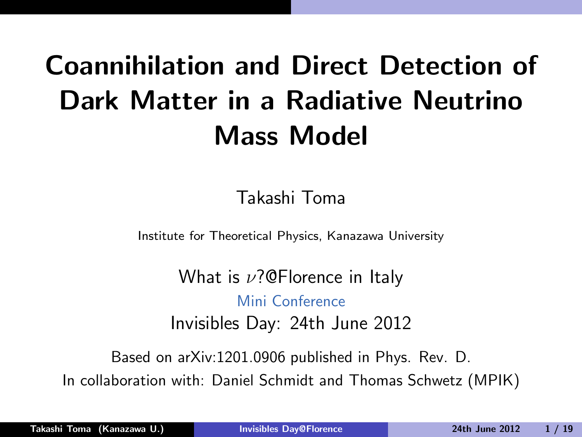# Coannihilation and Direct Detection of Dark Matter in a Radiative Neutrino Mass Model

<span id="page-0-0"></span>Takashi Toma

Institute for Theoretical Physics, Kanazawa University

What is  $\nu$ ?@Florence in Italy Mini Conference Invisibles Day: 24th June 2012

Based on arXiv:1201.0906 published in Phys. Rev. D. In collaboration with: Daniel Schmidt and Thomas Schwetz (MPIK)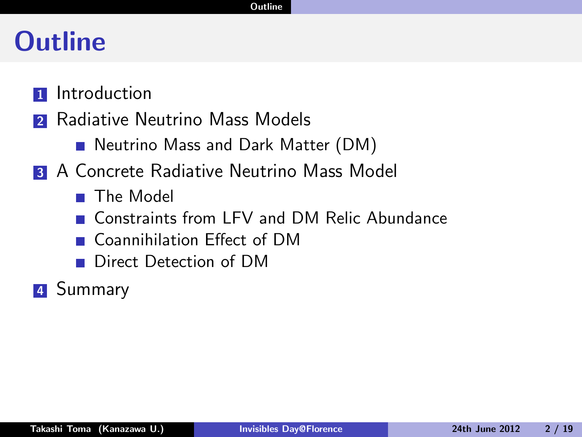### **Outline**

- **1** Introduction
- 2 Radiative Neutrino Mass Models
	- Neutrino Mass and Dark Matter (DM)
- **3 A Concrete Radiative Neutrino Mass Model** 
	- **The Model**
	- Constraints from LFV and DM Relic Abundance
	- Coannihilation Effect of DM
	- Direct Detection of DM
- **4** Summary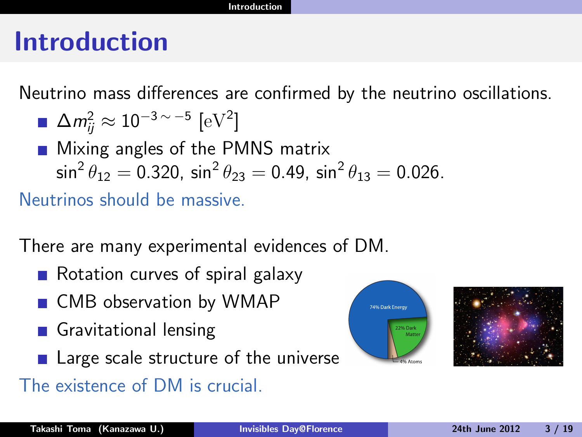#### Introduction

Neutrino mass differences are confirmed by the neutrino oscillations.

$$
\Delta m_{ij}^2 \approx 10^{-3 \,\sim\, -5} \,\,[\text{eV}^2]
$$

**Mixing angles of the PMNS matrix**  $\sin^2\theta_{12}=0.320$ ,  $\sin^2\theta_{23}=0.49$ ,  $\sin^2\theta_{13}=0.026$ .

Neutrinos should be massive.

There are many experimental evidences of DM.

- Rotation curves of spiral galaxy
- CMB observation by WMAP
- Gravitational lensing
- Large scale structure of the universe
- The existence of DM is crucial.



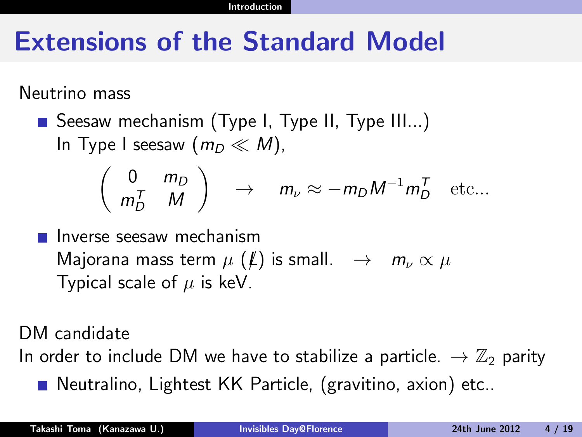# Extensions of the Standard Model

Neutrino mass

■ Seesaw mechanism (Type I, Type II, Type III...) In Type I seesaw  $(m_D \ll M)$ ,

$$
\left(\begin{array}{cc} 0 & m_D \\ m_D^T & M \end{array}\right) \rightarrow m_{\nu} \approx -m_D M^{-1} m_D^T \text{ etc...}
$$

Inverse seesaw mechanism Majorana mass term  $\mu$  (L) is small.  $\rightarrow$   $m_{\nu} \propto \mu$ Typical scale of  $\mu$  is keV.

DM candidate

In order to include DM we have to stabilize a particle.  $\rightarrow \mathbb{Z}_2$  parity

■ Neutralino, Lightest KK Particle, (gravitino, axion) etc..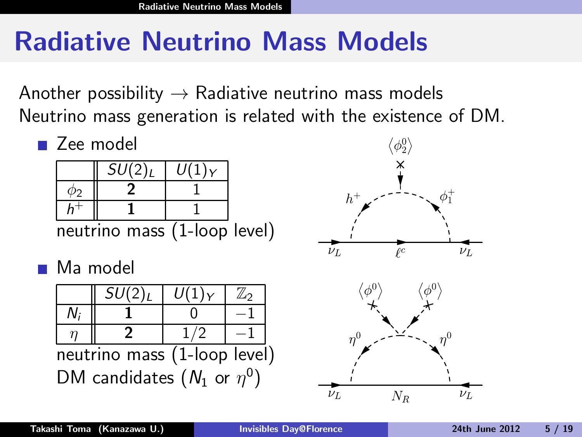# Radiative Neutrino Mass Models

Another possibility  $\rightarrow$  Radiative neutrino mass models Neutrino mass generation is related with the existence of DM.

■ Zee model  $SU(2)_L \mid U(1)_Y$  $\phi_2$  | 2 | 1 h  $+$  1 1 h neutrino mass (1-loop level)  $\bar{\nu}_L$ **■** Ma model  $SU(2)_L$   $U(1)_Y$   $\mathbb{Z}_2$  $\left\| \begin{array}{ccc} 1 & 0 \\ -1 & 0 \end{array} \right\|$  $\eta$  || 2 || 1/2 || −1 neutrino mass (1-loop level)

DM candidates  $(N_1 \text{ or } \eta^0)$ 

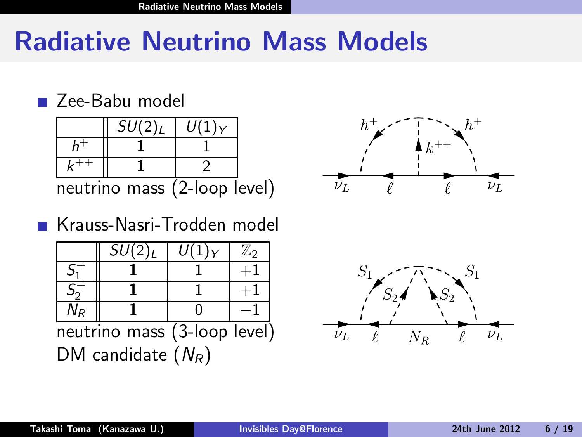### Radiative Neutrino Mass Models

#### ■ Zee-Babu model



#### Krauss-Nasri-Trodden model

|    | SU(2) <sub>L</sub> | IJ     | $\mathbb{Z}_2$ |
|----|--------------------|--------|----------------|
|    |                    |        |                |
|    |                    |        |                |
| ۷p |                    |        |                |
|    |                    | $\sim$ |                |

neutrino mass (3-loop level) DM candidate  $(N_R)$ 



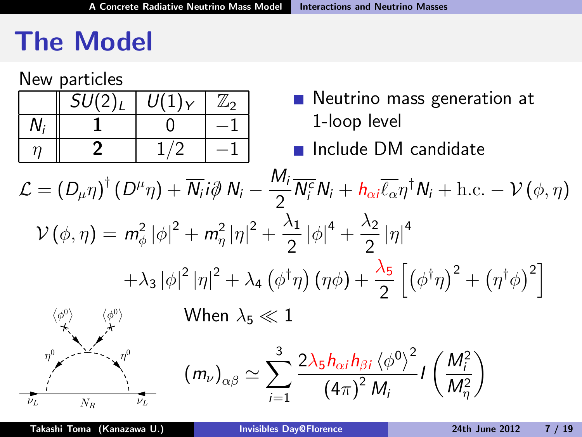# The Model

New particles

| $SU(2)_L$ | $U(1)_Y$ | /∠∩ |
|-----------|----------|-----|
|           |          |     |
|           |          |     |

- Neutrino mass generation at 1-loop level
- **Include DM candidate**

$$
\mathcal{L} = (D_{\mu}\eta)^{\dagger} (D^{\mu}\eta) + \overline{N_i} i\partial \hspace{0.1cm} N_i - \frac{M_i}{2} \overline{N_i^c} N_i + h_{\alpha i} \overline{\ell_{\alpha}} \eta^{\dagger} N_i + \text{h.c.} - \mathcal{V}(\phi, \eta)
$$
  

$$
\mathcal{V}(\phi, \eta) = m_{\phi}^2 |\phi|^2 + m_{\eta}^2 |\eta|^2 + \frac{\lambda_1}{2} |\phi|^4 + \frac{\lambda_2}{2} |\eta|^4
$$
  

$$
+ \lambda_3 |\phi|^2 |\eta|^2 + \lambda_4 (\phi^{\dagger} \eta) (\eta \phi) + \frac{\lambda_5}{2} [(\phi^{\dagger} \eta)^2 + (\eta^{\dagger} \phi)^2]
$$
  

$$
\langle \phi^0 \rangle \qquad \langle \phi^0 \rangle \qquad \text{When } \lambda_5 \ll 1
$$

3

 $i=1$ 



2 $\lambda_5 h_{\alpha i} h_{\beta i} \braket{\phi^0}^2$  $\left(4\pi\right)^2$  M<sub>i</sub>

 $\left( m_{\nu}\right) _{\alpha\beta}\simeq\sum$ 

 $I\left(\frac{M_i^2}{M_{\eta}^2}\right)$ 

 $\setminus$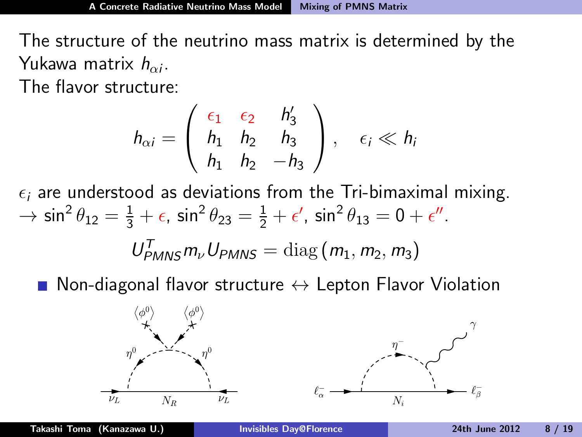The structure of the neutrino mass matrix is determined by the Yukawa matrix  $h_{\alpha i}$ .

The flavor structure:

$$
h_{\alpha i} = \left(\begin{array}{ccc} \epsilon_1 & \epsilon_2 & h'_3 \\ h_1 & h_2 & h_3 \\ h_1 & h_2 & -h_3 \end{array}\right), \quad \epsilon_i \ll h_i
$$

 $\epsilon_i$  are understood as deviations from the Tri-bimaximal mixing.  $\rightarrow \sin^2 \theta_{12} = \frac{1}{3} + \epsilon$ ,  $\sin^2 \theta_{23} = \frac{1}{2} + \epsilon'$ ,  $\sin^2 \theta_{13} = 0 + \epsilon''$ .  $U_{PMNS}^T m_\nu U_{PMNS} = \text{diag}(m_1, m_2, m_3)$ 

Non-diagonal flavor structure  $\leftrightarrow$  Lepton Flavor Violation

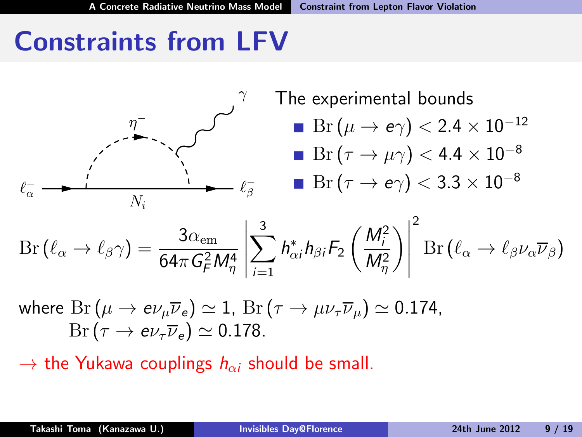# Constraints from LFV



$$
\text{Br}\left(\ell_\alpha \to \ell_\beta \gamma\right) = \frac{3\alpha_{\text{em}}}{64\pi G_F^2 M_\eta^4} \left| \sum_{i=1}^3 h_{\alpha i}^* h_{\beta i} F_2 \left(\frac{M_i^2}{M_\eta^2}\right) \right|^2 \text{Br}\left(\ell_\alpha \to \ell_\beta \nu_\alpha \overline{\nu}_\beta\right)
$$

where  $Br(\mu \to e \nu_{\mu} \overline{\nu}_{e}) \simeq 1$ ,  $Br(\tau \to \mu \nu_{\tau} \overline{\nu}_{\mu}) \simeq 0.174$ ,  $Br(\tau \to e\nu_\tau \overline{\nu}_e) \simeq 0.178.$ 

 $\rightarrow$  the Yukawa couplings  $h_{\alpha i}$  should be small.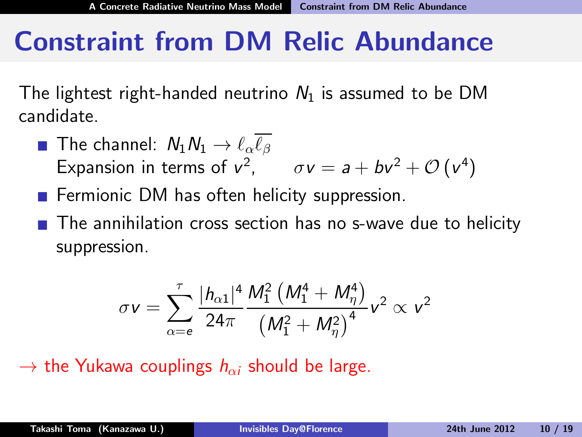### Constraint from DM Relic Abundance

The lightest right-handed neutrino  $N_1$  is assumed to be DM candidate.

- **The channel:**  $N_1N_1 \rightarrow \ell_{\alpha}\overline{\ell_{\beta}}$ Expansion in terms of  $v^2$ ,  $\sigma v = a + bv^2 + \mathcal{O}(v^4)$
- $\blacksquare$  Fermionic DM has often helicity suppression.

■ The annihilation cross section has no s-wave due to helicity suppression.

$$
\sigma v = \sum_{\alpha=e}^{\tau} \frac{|h_{\alpha 1}|^4}{24\pi} \frac{M_1^2 \left(M_1^4 + M_\eta^4\right)}{\left(M_1^2 + M_\eta^2\right)^4} v^2 \propto v^2
$$

 $\rightarrow$  the Yukawa couplings  $h_{\alpha i}$  should be large.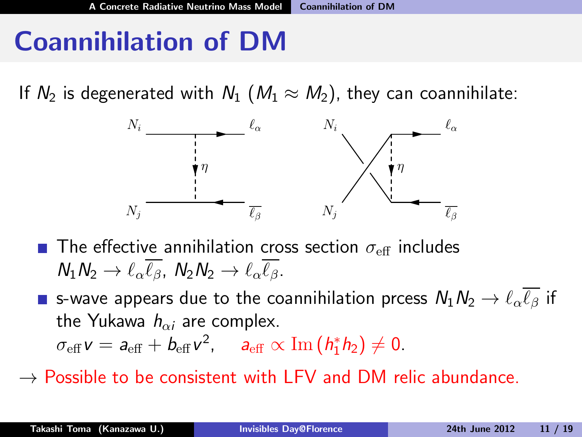# Coannihilation of DM

If  $N_2$  is degenerated with  $N_1$  ( $M_1 \approx M_2$ ), they can coannihilate:



- The effective annihilation cross section  $\sigma_{\text{eff}}$  includes  $N_1N_2 \rightarrow \ell_{\alpha}\overline{\ell_{\beta}}$ ,  $N_2N_2 \rightarrow \ell_{\alpha}\overline{\ell_{\beta}}$ .
- **s** s-wave appears due to the coannihilation prcess  $N_1N_2 \rightarrow \ell_{\alpha}\overline{\ell_{\beta}}$  if the Yukawa  $h_{\alpha i}$  are complex.

 $\sigma_{\text{eff}}\,\mathsf{v} = \mathsf{a}_{\text{eff}} + \mathsf{b}_{\text{eff}}\,\mathsf{v}^2$ ,  $\mathsf{a}_{\text{eff}} \propto \text{Im}\left(\mathsf{h}_1^*\mathsf{h}_2\right) \neq 0$ .

 $\rightarrow$  Possible to be consistent with LFV and DM relic abundance.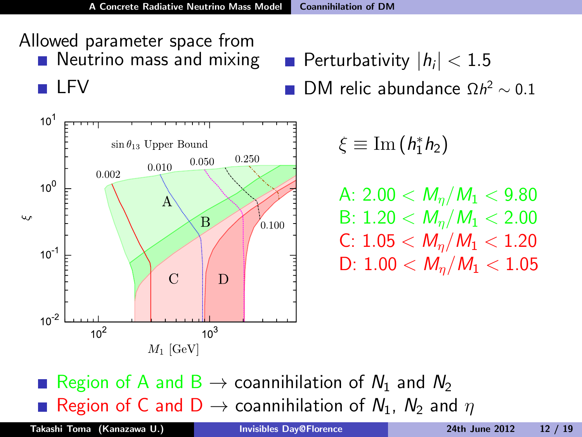



Perturbativity  $|h_i| < 1.5$ DM relic abundance  $\Omega h^2 \sim 0.1$ 

$$
\xi\equiv {\rm Im}\left(h_1^*h_2\right)
$$

A: 2.00  $< M_n/M_1 < 9.80$ B:  $1.20 < M_n/M_1 < 2.00$ C:  $1.05 < M_n/M_1 < 1.20$ D:  $1.00 < M_n/M_1 < 1.05$ 

Region of A and B  $\rightarrow$  coannihilation of  $N_1$  and  $N_2$ Region of C and D  $\rightarrow$  coannihilation of  $N_1$ ,  $N_2$  and  $\eta$ 

Takashi Toma (Kanazawa U.) [Invisibles Day@Florence](#page-0-0) 24th June 2012 12 / 19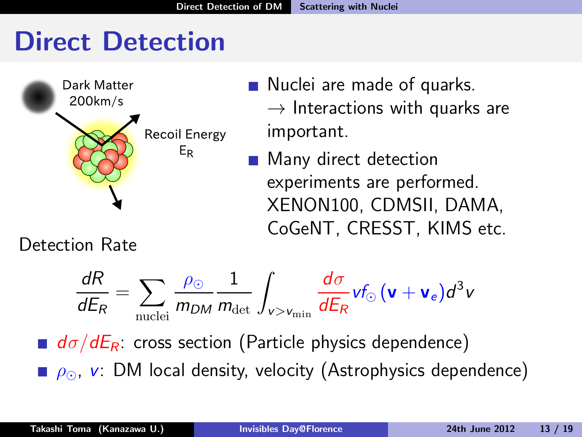# Direct Detection



- Nuclei are made of quarks.  $\rightarrow$  Interactions with quarks are important.
- Many direct detection experiments are performed. XENON100, CDMSII, DAMA, CoGeNT, CRESST, KIMS etc.

Detection Rate

$$
\frac{dR}{dE_R} = \sum_{\text{nuclei}} \frac{\rho_\odot}{m_{DM}} \frac{1}{m_{\text{det}}} \int_{v>v_{\text{min}}} \frac{d\sigma}{dE_R} v f_\odot \left(\mathbf{v} + \mathbf{v}_e\right) d^3v
$$

 $d\sigma/dE_R$ : cross section (Particle physics dependence)  $\rho_{\odot}$ , v: DM local density, velocity (Astrophysics dependence)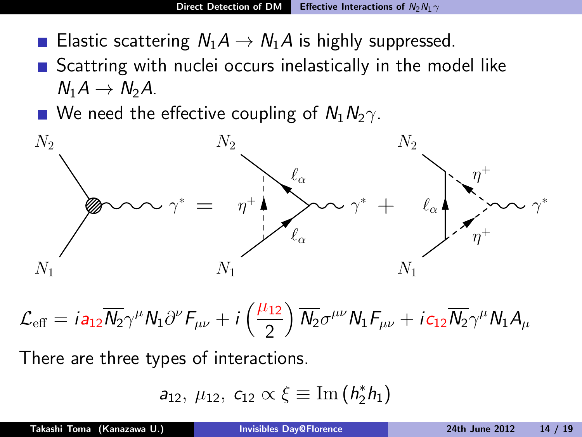- Elastic scattering  $N_1A \rightarrow N_1A$  is highly suppressed.
- $\blacksquare$  Scattring with nuclei occurs inelastically in the model like  $N_1A \rightarrow N_2A$ .
- We need the effective coupling of  $N_1N_2\gamma$ .



 $\mathcal{L}_{\text{eff}} = i a_{12} \overline{N_2} \gamma^{\mu} N_1 \partial^{\nu} F_{\mu\nu} + i \left( \frac{\mu_{12}}{2} \right)$ 2  $\int \overline{N_2} \sigma^{\mu\nu} N_1 F_{\mu\nu} + i c_{12} \overline{N_2} \gamma^\mu N_1 A_\mu$ 

There are three types of interactions.

$$
a_{12},\ \mu_{12},\ c_{12}\propto \xi \equiv {\rm Im}\left(\textit{h}_{2}^{\ast}\textit{h}_{1}\right)
$$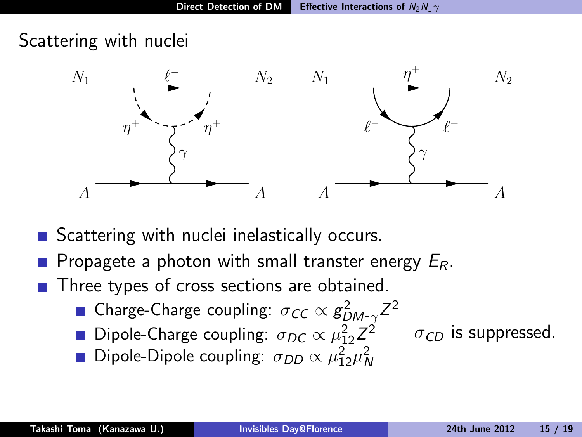Scattering with nuclei



- Scattering with nuclei inelastically occurs.
- **Propagete a photon with small transter energy**  $E_R$ **.**
- Three types of cross sections are obtained.
	- Charge-Charge coupling:  $\sigma_{CC}\propto g_{DM-\gamma}^2 Z^2$
	- Dipole-Charge coupling:  $\sigma_{DC} \propto \mu_{12}^2 Z^2$   $\sigma_{CD}$  is suppressed.

Dipole-Dipole coupling:  $\sigma_{DD} \propto \mu_{12}^2 \mu_N^2$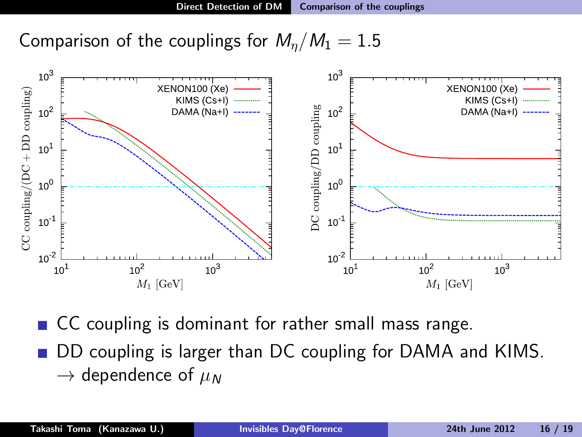Comparison of the couplings for  $M_n/M_1 = 1.5$ 



CC coupling is dominant for rather small mass range. DD coupling is larger than DC coupling for DAMA and KIMS.  $\rightarrow$  dependence of  $\mu_N$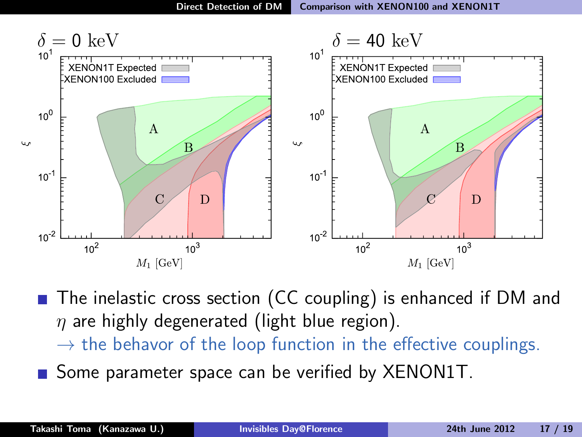

■ The inelastic cross section (CC coupling) is enhanced if DM and  $\eta$  are highly degenerated (light blue region).

- $\rightarrow$  the behavor of the loop function in the effective couplings.
- Some parameter space can be verified by XENON1T.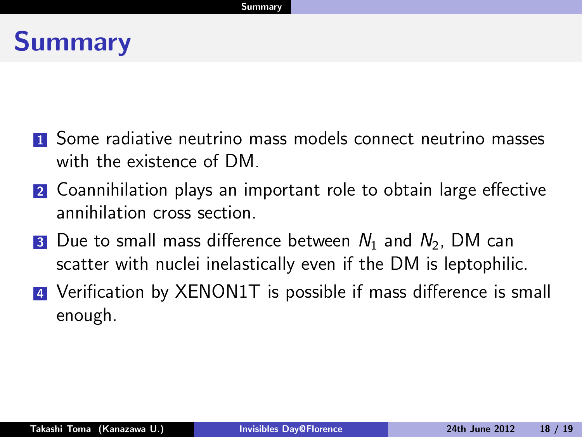# Summary

- **1** Some radiative neutrino mass models connect neutrino masses with the existence of DM
- 2 Coannihilation plays an important role to obtain large effective annihilation cross section.
- **3** Due to small mass difference between  $N_1$  and  $N_2$ , DM can scatter with nuclei inelastically even if the DM is leptophilic.
- **4** Verification by XENON1T is possible if mass difference is small enough.